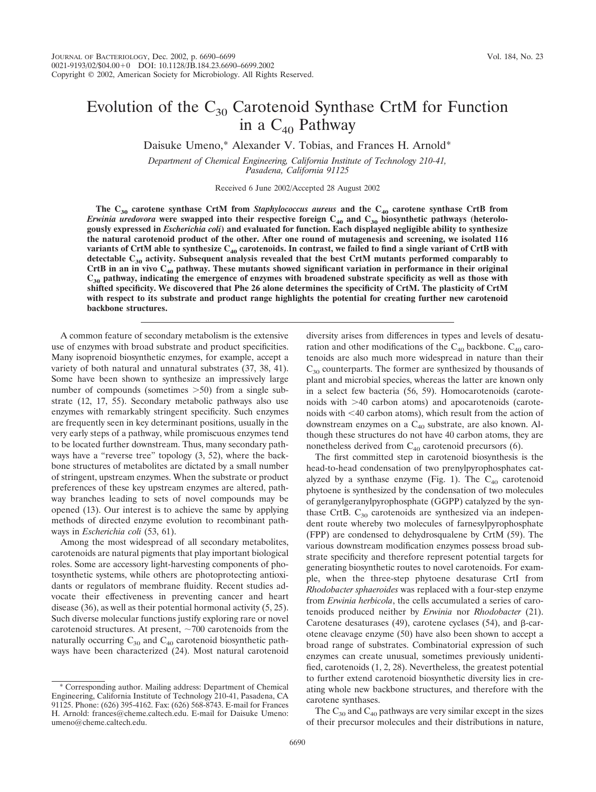# Evolution of the  $C_{30}$  Carotenoid Synthase CrtM for Function in a  $C_{40}$  Pathway

Daisuke Umeno,\* Alexander V. Tobias, and Frances H. Arnold\*

*Department of Chemical Engineering, California Institute of Technology 210-41, Pasadena, California 91125*

Received 6 June 2002/Accepted 28 August 2002

**The C30 carotene synthase CrtM from** *Staphylococcus aureus* **and the C40 carotene synthase CrtB from** *Erwinia uredovora* **were swapped into their respective foreign C40 and C30 biosynthetic pathways (heterologously expressed in** *Escherichia coli***) and evaluated for function. Each displayed negligible ability to synthesize the natural carotenoid product of the other. After one round of mutagenesis and screening, we isolated 116** variants of CrtM able to synthesize C<sub>40</sub> carotenoids. In contrast, we failed to find a single variant of CrtB with **detectable C30 activity. Subsequent analysis revealed that the best CrtM mutants performed comparably to CrtB in an in vivo C40 pathway. These mutants showed significant variation in performance in their original C30 pathway, indicating the emergence of enzymes with broadened substrate specificity as well as those with shifted specificity. We discovered that Phe 26 alone determines the specificity of CrtM. The plasticity of CrtM with respect to its substrate and product range highlights the potential for creating further new carotenoid backbone structures.**

A common feature of secondary metabolism is the extensive use of enzymes with broad substrate and product specificities. Many isoprenoid biosynthetic enzymes, for example, accept a variety of both natural and unnatural substrates (37, 38, 41). Some have been shown to synthesize an impressively large number of compounds (sometimes  $>50$ ) from a single substrate (12, 17, 55). Secondary metabolic pathways also use enzymes with remarkably stringent specificity. Such enzymes are frequently seen in key determinant positions, usually in the very early steps of a pathway, while promiscuous enzymes tend to be located further downstream. Thus, many secondary pathways have a "reverse tree" topology (3, 52), where the backbone structures of metabolites are dictated by a small number of stringent, upstream enzymes. When the substrate or product preferences of these key upstream enzymes are altered, pathway branches leading to sets of novel compounds may be opened (13). Our interest is to achieve the same by applying methods of directed enzyme evolution to recombinant pathways in *Escherichia coli* (53, 61).

Among the most widespread of all secondary metabolites, carotenoids are natural pigments that play important biological roles. Some are accessory light-harvesting components of photosynthetic systems, while others are photoprotecting antioxidants or regulators of membrane fluidity. Recent studies advocate their effectiveness in preventing cancer and heart disease (36), as well as their potential hormonal activity (5, 25). Such diverse molecular functions justify exploring rare or novel carotenoid structures. At present,  $\sim$  700 carotenoids from the naturally occurring  $C_{30}$  and  $C_{40}$  carotenoid biosynthetic pathways have been characterized (24). Most natural carotenoid

\* Corresponding author. Mailing address: Department of Chemical Engineering, California Institute of Technology 210-41, Pasadena, CA 91125. Phone: (626) 395-4162. Fax: (626) 568-8743. E-mail for Frances H. Arnold: frances@cheme.caltech.edu. E-mail for Daisuke Umeno: umeno@cheme.caltech.edu.

diversity arises from differences in types and levels of desaturation and other modifications of the  $C_{40}$  backbone.  $C_{40}$  carotenoids are also much more widespread in nature than their  $C_{30}$  counterparts. The former are synthesized by thousands of plant and microbial species, whereas the latter are known only in a select few bacteria (56, 59). Homocarotenoids (carotenoids with -40 carbon atoms) and apocarotenoids (carotenoids with 40 carbon atoms), which result from the action of downstream enzymes on a  $C_{40}$  substrate, are also known. Although these structures do not have 40 carbon atoms, they are nonetheless derived from  $C_{40}$  carotenoid precursors (6).

The first committed step in carotenoid biosynthesis is the head-to-head condensation of two prenylpyrophosphates catalyzed by a synthase enzyme (Fig. 1). The  $C_{40}$  carotenoid phytoene is synthesized by the condensation of two molecules of geranylgeranylpyrophosphate (GGPP) catalyzed by the synthase CrtB.  $C_{30}$  carotenoids are synthesized via an independent route whereby two molecules of farnesylpyrophosphate (FPP) are condensed to dehydrosqualene by CrtM (59). The various downstream modification enzymes possess broad substrate specificity and therefore represent potential targets for generating biosynthetic routes to novel carotenoids. For example, when the three-step phytoene desaturase CrtI from *Rhodobacter sphaeroides* was replaced with a four-step enzyme from *Erwinia herbicola*, the cells accumulated a series of carotenoids produced neither by *Erwinia* nor *Rhodobacter* (21). Carotene desaturases (49), carotene cyclases (54), and  $\beta$ -carotene cleavage enzyme (50) have also been shown to accept a broad range of substrates. Combinatorial expression of such enzymes can create unusual, sometimes previously unidentified, carotenoids (1, 2, 28). Nevertheless, the greatest potential to further extend carotenoid biosynthetic diversity lies in creating whole new backbone structures, and therefore with the carotene synthases.

The  $C_{30}$  and  $C_{40}$  pathways are very similar except in the sizes of their precursor molecules and their distributions in nature,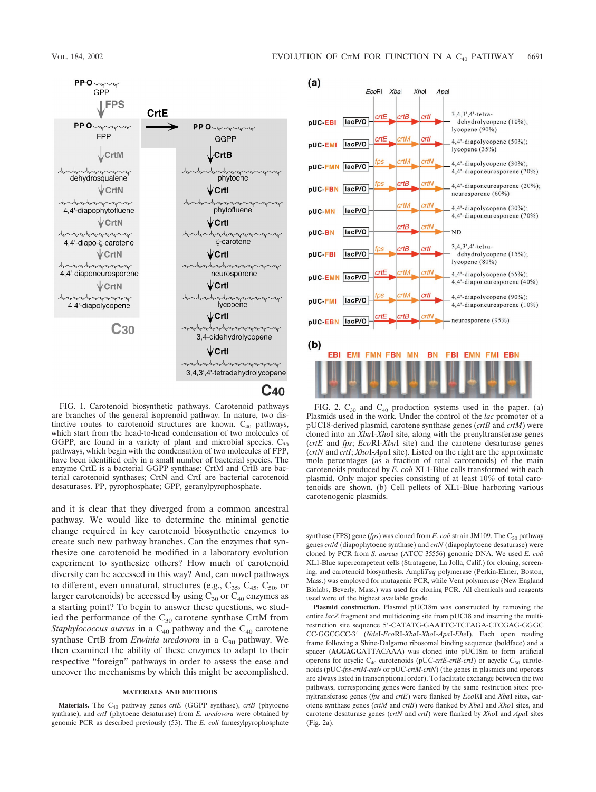

FIG. 1. Carotenoid biosynthetic pathways. Carotenoid pathways are branches of the general isoprenoid pathway. In nature, two distinctive routes to carotenoid structures are known.  $C_{40}$  pathways, which start from the head-to-head condensation of two molecules of GGPP, are found in a variety of plant and microbial species.  $C_{30}$ pathways, which begin with the condensation of two molecules of FPP, have been identified only in a small number of bacterial species. The enzyme CrtE is a bacterial GGPP synthase; CrtM and CrtB are bacterial carotenoid synthases; CrtN and CrtI are bacterial carotenoid desaturases. PP, pyrophosphate; GPP, geranylpyrophosphate.

and it is clear that they diverged from a common ancestral pathway. We would like to determine the minimal genetic change required in key carotenoid biosynthetic enzymes to create such new pathway branches. Can the enzymes that synthesize one carotenoid be modified in a laboratory evolution experiment to synthesize others? How much of carotenoid diversity can be accessed in this way? And, can novel pathways to different, even unnatural, structures (e.g.,  $C_{35}$ ,  $C_{45}$ ,  $C_{50}$ , or larger carotenoids) be accessed by using  $C_{30}$  or  $C_{40}$  enzymes as a starting point? To begin to answer these questions, we studied the performance of the  $C_{30}$  carotene synthase CrtM from *Staphylococcus aureus* in a  $C_{40}$  pathway and the  $C_{40}$  carotene synthase CrtB from *Erwinia uredovora* in a C<sub>30</sub> pathway. We then examined the ability of these enzymes to adapt to their respective "foreign" pathways in order to assess the ease and uncover the mechanisms by which this might be accomplished.

## **MATERIALS AND METHODS**

Materials. The C<sub>40</sub> pathway genes *crtE* (GGPP synthase), *crtB* (phytoene synthase), and *crtI* (phytoene desaturase) from *E. uredovora* were obtained by genomic PCR as described previously (53). The *E. coli* farnesylpyrophosphate



FIG. 2.  $C_{30}$  and  $C_{40}$  production systems used in the paper. (a) Plasmids used in the work. Under the control of the *lac* promoter of a pUC18-derived plasmid, carotene synthase genes (*crtB* and *crtM*) were cloned into an *Xba*I-*Xho*I site, along with the prenyltransferase genes (*crtE* and *fps*; *Eco*RI-*Xba*I site) and the carotene desaturase genes (*crtN* and *crtI*; *Xho*I-*Apa*I site). Listed on the right are the approximate mole percentages (as a fraction of total carotenoids) of the main carotenoids produced by *E. coli* XL1-Blue cells transformed with each plasmid. Only major species consisting of at least 10% of total carotenoids are shown. (b) Cell pellets of XL1-Blue harboring various carotenogenic plasmids.

synthase (FPS) gene (*fps*) was cloned from *E. coli* strain JM109. The C<sub>30</sub> pathway genes *crtM* (diapophytoene synthase) and *crtN* (diapophytoene desaturase) were cloned by PCR from *S. aureus* (ATCC 35556) genomic DNA. We used *E. coli* XL1-Blue supercompetent cells (Stratagene, La Jolla, Calif.) for cloning, screening, and carotenoid biosynthesis. Ampli*Taq* polymerase (Perkin-Elmer, Boston, Mass.) was employed for mutagenic PCR, while Vent polymerase (New England Biolabs, Beverly, Mass.) was used for cloning PCR. All chemicals and reagents used were of the highest available grade.

**Plasmid construction.** Plasmid pUC18m was constructed by removing the entire *lacZ* fragment and multicloning site from pUC18 and inserting the multirestriction site sequence 5-CATATG-GAATTC-TCTAGA-CTCGAG-GGGC CC-GGCGCC-3 (*Nde*I-*Eco*RI-*Xba*I-*Xho*I-*Apa*I-*Ehe*I). Each open reading frame following a Shine-Dalgarno ribosomal binding sequence (boldface) and a spacer (**AGGAGG**ATTACAAA) was cloned into pUC18m to form artificial operons for acyclic  $C_{40}$  carotenoids (pUC-crtE-crtB-crtI) or acyclic  $C_{30}$  carotenoids (pUC-*fps-crtM-crtN* or pUC-*crtM-crtN*) (the genes in plasmids and operons are always listed in transcriptional order). To facilitate exchange between the two pathways, corresponding genes were flanked by the same restriction sites: prenyltransferase genes (*fps* and *crtE*) were flanked by *Eco*RI and *Xba*I sites, carotene synthase genes (*crtM* and *crtB*) were flanked by *Xba*I and *Xho*I sites, and carotene desaturase genes (*crtN* and *crtI*) were flanked by *Xho*I and *Apa*I sites (Fig. 2a).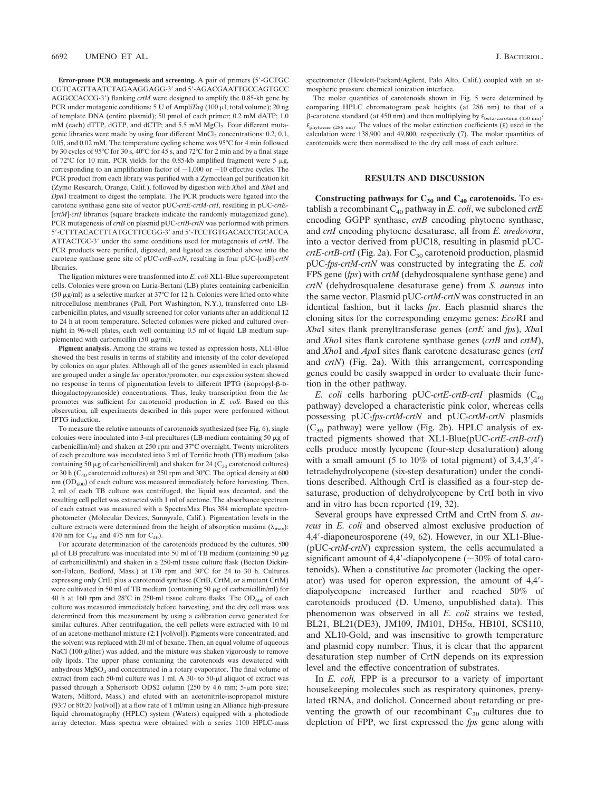**Error-prone PCR mutagenesis and screening.** A pair of primers (5-GCTGC CGTCAGTTAATCTAGAAGGAGG-3' and 5'-AGACGAATTGCCAGTGCC AGGCCACCG-3) flanking *crtM* were designed to amplify the 0.85-kb gene by PCR under mutagenic conditions: 5 U of Ampli*Taq* (100 µl, total volume); 20 ng of template DNA (entire plasmid); 50 pmol of each primer; 0.2 mM dATP; 1.0 mM (each) dTTP, dGTP, and dCTP; and 5.5 mM MgCl<sub>2</sub>. Four different mutagenic libraries were made by using four different  $MnCl<sub>2</sub>$  concentrations: 0.2, 0.1, 0.05, and 0.02 mM. The temperature cycling scheme was 95°C for 4 min followed by 30 cycles of 95°C for 30 s, 40°C for 45 s, and 72°C for 2 min and by a final stage of 72°C for 10 min. PCR yields for the 0.85-kb amplified fragment were 5  $\mu$ g, corresponding to an amplification factor of  $\sim$ 1,000 or  $\sim$ 10 effective cycles. The PCR product from each library was purified with a Zymoclean gel purification kit (Zymo Research, Orange, Calif.), followed by digestion with *Xho*I and *Xba*I and *Dpn*I treatment to digest the template. The PCR products were ligated into the carotene synthase gene site of vector pUC-*crtE-crtM-crtI*, resulting in pUC-*crtE-* [*crtM*]*-crtI* libraries (square brackets indicate the randomly mutagenized gene). PCR mutagenesis of *crtB* on plasmid pUC-*crtB-crtN* was performed with primers 5-CTTTACACTTTATGCTTCCGG-3 and 5-TCCTGTGACACCTGCACCA ATTACTGC-3' under the same conditions used for mutagenesis of *crtM*. The PCR products were purified, digested, and ligated as described above into the carotene synthase gene site of pUC-*crtB-crtN*, resulting in four pUC-[*crtB*]*-crtN* libraries.

The ligation mixtures were transformed into *E. coli* XL1-Blue supercompetent cells. Colonies were grown on Luria-Bertani (LB) plates containing carbenicillin (50  $\mu$ g/ml) as a selective marker at 37°C for 12 h. Colonies were lifted onto white nitrocellulose membranes (Pall, Port Washington, N.Y.), transferred onto LBcarbenicillin plates, and visually screened for color variants after an additional 12 to 24 h at room temperature. Selected colonies were picked and cultured overnight in 96-well plates, each well containing 0.5 ml of liquid LB medium supplemented with carbenicillin (50  $\mu$ g/ml).

**Pigment analysis.** Among the strains we tested as expression hosts, XL1-Blue showed the best results in terms of stability and intensity of the color developed by colonies on agar plates. Although all of the genes assembled in each plasmid are grouped under a single *lac* operator/promoter, our expression system showed no response in terms of pigmentation levels to different IPTG (isopropyl-ß-Dthiogalactopyranoside) concentrations. Thus, leaky transcription from the *lac* promoter was sufficient for carotenoid production in *E. coli.* Based on this observation, all experiments described in this paper were performed without IPTG induction.

To measure the relative amounts of carotenoids synthesized (see Fig. 6), single colonies were inoculated into 3-ml precultures (LB medium containing 50  $\mu$ g of carbenicillin/ml) and shaken at 250 rpm and 37°C overnight. Twenty microliters of each preculture was inoculated into 3 ml of Terrific broth (TB) medium (also containing 50  $\mu$ g of carbenicillin/ml) and shaken for 24 (C<sub>30</sub> carotenoid cultures) or 30 h ( $C_{40}$  carotenoid cultures) at 250 rpm and 30°C. The optical density at 600 nm  $(OD<sub>600</sub>)$  of each culture was measured immediately before harvesting. Then, 2 ml of each TB culture was centrifuged, the liquid was decanted, and the resulting cell pellet was extracted with 1 ml of acetone. The absorbance spectrum of each extract was measured with a SpectraMax Plus 384 microplate spectrophotometer (Molecular Devices, Sunnyvale, Calif.). Pigmentation levels in the culture extracts were determined from the height of absorption maxima  $(\lambda_{\text{max}})$ : 470 nm for  $C_{30}$  and 475 nm for  $C_{40}$ ).

For accurate determination of the carotenoids produced by the cultures, 500  $\mu$ l of LB preculture was inoculated into 50 ml of TB medium (containing 50  $\mu$ g of carbenicillin/ml) and shaken in a 250-ml tissue culture flask (Becton Dickinson-Falcon, Bedford, Mass.) at 170 rpm and 30°C for 24 to 30 h. Cultures expressing only CrtE plus a carotenoid synthase (CrtB, CrtM, or a mutant CrtM) were cultivated in 50 ml of TB medium (containing 50  $\mu$ g of carbenicillin/ml) for 40 h at 160 rpm and 28°C in 250-ml tissue culture flasks. The  $OD_{600}$  of each culture was measured immediately before harvesting, and the dry cell mass was determined from this measurement by using a calibration curve generated for similar cultures. After centrifugation, the cell pellets were extracted with 10 ml of an acetone-methanol mixture (2:1 [vol/vol]). Pigments were concentrated, and the solvent was replaced with 20 ml of hexane. Then, an equal volume of aqueous NaCl (100 g/liter) was added, and the mixture was shaken vigorously to remove oily lipids. The upper phase containing the carotenoids was dewatered with anhydrous MgSO<sub>4</sub> and concentrated in a rotary evaporator. The final volume of extract from each 50-ml culture was 1 ml. A 30- to 50- $\mu$ l aliquot of extract was passed through a Spherisorb ODS2 column (250 by 4.6 mm; 5-µm pore size; Waters, Milford, Mass.) and eluted with an acetonitrile-isopropanol mixture (93:7 or 80:20 [vol/vol]) at a flow rate of 1 ml/min using an Alliance high-pressure liquid chromatography (HPLC) system (Waters) equipped with a photodiode array detector. Mass spectra were obtained with a series 1100 HPLC-mass

spectrometer (Hewlett-Packard/Agilent, Palo Alto, Calif.) coupled with an atmospheric pressure chemical ionization interface.

The molar quantities of carotenoids shown in Fig. 5 were determined by comparing HPLC chromatogram peak heights (at 286 nm) to that of a  $β$ -carotene standard (at 450 nm) and then multiplying by  $ε_{beta-carotene (450 nm)}$ εphytoene (286 nm). The values of the molar extinction coefficients (ε) used in the calculation were 138,900 and 49,800, respectively (7). The molar quantities of carotenoids were then normalized to the dry cell mass of each culture.

## **RESULTS AND DISCUSSION**

**Constructing pathways for**  $C_{30}$  **and**  $C_{40}$  **carotenoids. To es**tablish a recombinant  $C_{40}$  pathway in *E. coli*, we subcloned *crtE* encoding GGPP synthase, *crtB* encoding phytoene synthase, and *crtI* encoding phytoene desaturase, all from *E. uredovora*, into a vector derived from pUC18, resulting in plasmid pUC*crtE-crtB-crtI* (Fig. 2a). For C<sub>30</sub> carotenoid production, plasmid pUC-*fps-crtM-crtN* was constructed by integrating the *E. coli* FPS gene (*fps*) with *crtM* (dehydrosqualene synthase gene) and *crtN* (dehydrosqualene desaturase gene) from *S. aureus* into the same vector. Plasmid pUC*-crtM-crtN* was constructed in an identical fashion, but it lacks *fps*. Each plasmid shares the cloning sites for the corresponding enzyme genes: *Eco*RI and *Xba*I sites flank prenyltransferase genes (*crtE* and *fps*), *Xba*I and *Xho*I sites flank carotene synthase genes (*crtB* and *crtM*), and *Xho*I and *Apa*I sites flank carotene desaturase genes (*crtI* and *crtN*) (Fig. 2a). With this arrangement, corresponding genes could be easily swapped in order to evaluate their function in the other pathway.

*E. coli* cells harboring pUC-crtE-crtB-crtI plasmids  $(C_{40}$ pathway) developed a characteristic pink color, whereas cells possessing pUC-*fps-crtM-crtN* and pUC-*crtM-crtN* plasmids  $(C_{30}$  pathway) were yellow (Fig. 2b). HPLC analysis of extracted pigments showed that XL1-Blue(pUC-*crtE-crtB-crtI*) cells produce mostly lycopene (four-step desaturation) along with a small amount (5 to  $10\%$  of total pigment) of  $3,4,3',4'$ tetradehydrolycopene (six-step desaturation) under the conditions described. Although CrtI is classified as a four-step desaturase, production of dehydrolycopene by CrtI both in vivo and in vitro has been reported (19, 32).

Several groups have expressed CrtM and CrtN from *S. aureus* in *E. coli* and observed almost exclusive production of 4,4-diaponeurosporene (49, 62). However, in our XL1-Blue- (pUC-*crtM-crtN*) expression system, the cells accumulated a significant amount of 4,4'-diapolycopene ( $\sim$ 30% of total carotenoids). When a constitutive *lac* promoter (lacking the operator) was used for operon expression, the amount of 4,4 diapolycopene increased further and reached 50% of carotenoids produced (D. Umeno, unpublished data). This phenomenon was observed in all *E. coli* strains we tested, BL21, BL21(DE3), JM109, JM101, DH5α, HB101, SCS110, and XL10-Gold, and was insensitive to growth temperature and plasmid copy number. Thus, it is clear that the apparent desaturation step number of CrtN depends on its expression level and the effective concentration of substrates.

In *E. coli,* FPP is a precursor to a variety of important housekeeping molecules such as respiratory quinones, prenylated tRNA, and dolichol. Concerned about retarding or preventing the growth of our recombinant  $C_{30}$  cultures due to depletion of FPP, we first expressed the *fps* gene along with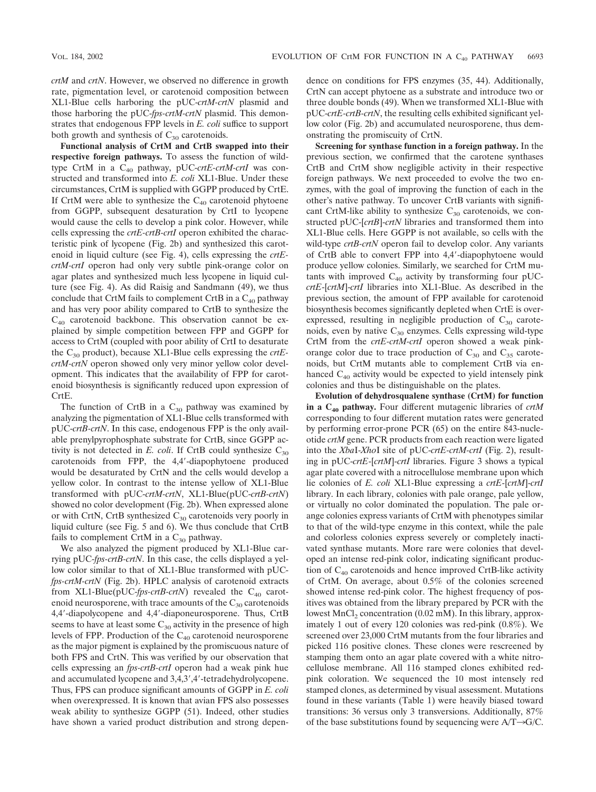*crtM* and *crtN*. However, we observed no difference in growth rate, pigmentation level, or carotenoid composition between XL1-Blue cells harboring the pUC-*crtM-crtN* plasmid and those harboring the pUC-*fps-crtM-crtN* plasmid. This demonstrates that endogenous FPP levels in *E. coli* suffice to support both growth and synthesis of  $C_{30}$  carotenoids.

**Functional analysis of CrtM and CrtB swapped into their respective foreign pathways.** To assess the function of wildtype CrtM in a C<sub>40</sub> pathway, pUC-crtE-crtM-crtI was constructed and transformed into *E. coli* XL1-Blue. Under these circumstances, CrtM is supplied with GGPP produced by CrtE. If CrtM were able to synthesize the  $C_{40}$  carotenoid phytoene from GGPP, subsequent desaturation by CrtI to lycopene would cause the cells to develop a pink color. However, while cells expressing the *crtE-crtB-crtI* operon exhibited the characteristic pink of lycopene (Fig. 2b) and synthesized this carotenoid in liquid culture (see Fig. 4), cells expressing the *crtEcrtM-crtI* operon had only very subtle pink-orange color on agar plates and synthesized much less lycopene in liquid culture (see Fig. 4). As did Raisig and Sandmann (49), we thus conclude that CrtM fails to complement CrtB in a  $C_{40}$  pathway and has very poor ability compared to CrtB to synthesize the  $C_{40}$  carotenoid backbone. This observation cannot be explained by simple competition between FPP and GGPP for access to CrtM (coupled with poor ability of CrtI to desaturate the C30 product), because XL1-Blue cells expressing the *crtEcrtM-crtN* operon showed only very minor yellow color development. This indicates that the availability of FPP for carotenoid biosynthesis is significantly reduced upon expression of CrtE.

The function of CrtB in a  $C_{30}$  pathway was examined by analyzing the pigmentation of XL1-Blue cells transformed with pUC-*crtB-crtN*. In this case, endogenous FPP is the only available prenylpyrophosphate substrate for CrtB, since GGPP activity is not detected in *E. coli*. If CrtB could synthesize  $C_{30}$ carotenoids from FPP, the 4,4-diapophytoene produced would be desaturated by CrtN and the cells would develop a yellow color. In contrast to the intense yellow of XL1-Blue transformed with pUC-*crtM-crtN*, XL1-Blue(pUC-*crtB-crtN*) showed no color development (Fig. 2b). When expressed alone or with CrtN, CrtB synthesized C<sub>30</sub> carotenoids very poorly in liquid culture (see Fig. 5 and 6). We thus conclude that CrtB fails to complement CrtM in a  $C_{30}$  pathway.

We also analyzed the pigment produced by XL1-Blue carrying pUC-*fps-crtB-crtN*. In this case, the cells displayed a yellow color similar to that of XL1-Blue transformed with pUC*fps-crtM-crtN* (Fig. 2b). HPLC analysis of carotenoid extracts from XL1-Blue(pUC-fps-crtB-crtN) revealed the  $C_{40}$  carotenoid neurosporene, with trace amounts of the  $C_{30}$  carotenoids 4,4-diapolycopene and 4,4-diaponeurosporene. Thus, CrtB seems to have at least some  $C_{30}$  activity in the presence of high levels of FPP. Production of the  $C_{40}$  carotenoid neurosporene as the major pigment is explained by the promiscuous nature of both FPS and CrtN. This was verified by our observation that cells expressing an *fps-crtB-crtI* operon had a weak pink hue and accumulated lycopene and 3,4,3',4'-tetradehydrolycopene. Thus, FPS can produce significant amounts of GGPP in *E. coli* when overexpressed. It is known that avian FPS also possesses weak ability to synthesize GGPP (51). Indeed, other studies have shown a varied product distribution and strong dependence on conditions for FPS enzymes (35, 44). Additionally, CrtN can accept phytoene as a substrate and introduce two or three double bonds (49). When we transformed XL1-Blue with pUC-*crtE-crtB-crtN*, the resulting cells exhibited significant yellow color (Fig. 2b) and accumulated neurosporene, thus demonstrating the promiscuity of CrtN.

**Screening for synthase function in a foreign pathway.** In the previous section, we confirmed that the carotene synthases CrtB and CrtM show negligible activity in their respective foreign pathways. We next proceeded to evolve the two enzymes, with the goal of improving the function of each in the other's native pathway. To uncover CrtB variants with significant CrtM-like ability to synthesize  $C_{30}$  carotenoids, we constructed pUC-[*crtB*]-*crtN* libraries and transformed them into XL1-Blue cells. Here GGPP is not available, so cells with the wild-type *crtB-crtN* operon fail to develop color. Any variants of CrtB able to convert FPP into 4,4-diapophytoene would produce yellow colonies. Similarly, we searched for CrtM mutants with improved  $C_{40}$  activity by transforming four pUC*crtE*-[*crtM*]-*crtI* libraries into XL1-Blue. As described in the previous section, the amount of FPP available for carotenoid biosynthesis becomes significantly depleted when CrtE is overexpressed, resulting in negligible production of  $C_{30}$  carotenoids, even by native  $C_{30}$  enzymes. Cells expressing wild-type CrtM from the *crtE-crtM-crtI* operon showed a weak pinkorange color due to trace production of  $C_{30}$  and  $C_{35}$  carotenoids, but CrtM mutants able to complement CrtB via enhanced  $C_{40}$  activity would be expected to yield intensely pink colonies and thus be distinguishable on the plates.

**Evolution of dehydrosqualene synthase (CrtM) for function in a C40 pathway.** Four different mutagenic libraries of *crtM* corresponding to four different mutation rates were generated by performing error-prone PCR (65) on the entire 843-nucleotide *crtM* gene. PCR products from each reaction were ligated into the *Xba*I-*Xho*I site of pUC-*crtE-crtM-crtI* (Fig. 2), resulting in pUC-*crtE*-[*crtM*]-*crtI* libraries. Figure 3 shows a typical agar plate covered with a nitrocellulose membrane upon which lie colonies of *E. coli* XL1-Blue expressing a *crtE*-[*crtM*]-*crtI* library. In each library, colonies with pale orange, pale yellow, or virtually no color dominated the population. The pale orange colonies express variants of CrtM with phenotypes similar to that of the wild-type enzyme in this context, while the pale and colorless colonies express severely or completely inactivated synthase mutants. More rare were colonies that developed an intense red-pink color, indicating significant production of  $C_{40}$  carotenoids and hence improved CrtB-like activity of CrtM. On average, about 0.5% of the colonies screened showed intense red-pink color. The highest frequency of positives was obtained from the library prepared by PCR with the lowest  $MnCl<sub>2</sub> concentration (0.02 mM)$ . In this library, approximately 1 out of every 120 colonies was red-pink (0.8%). We screened over 23,000 CrtM mutants from the four libraries and picked 116 positive clones. These clones were rescreened by stamping them onto an agar plate covered with a white nitrocellulose membrane. All 116 stamped clones exhibited redpink coloration. We sequenced the 10 most intensely red stamped clones, as determined by visual assessment. Mutations found in these variants (Table 1) were heavily biased toward transitions: 36 versus only 3 transversions. Additionally, 87% of the base substitutions found by sequencing were  $A/T\rightarrow G/C$ .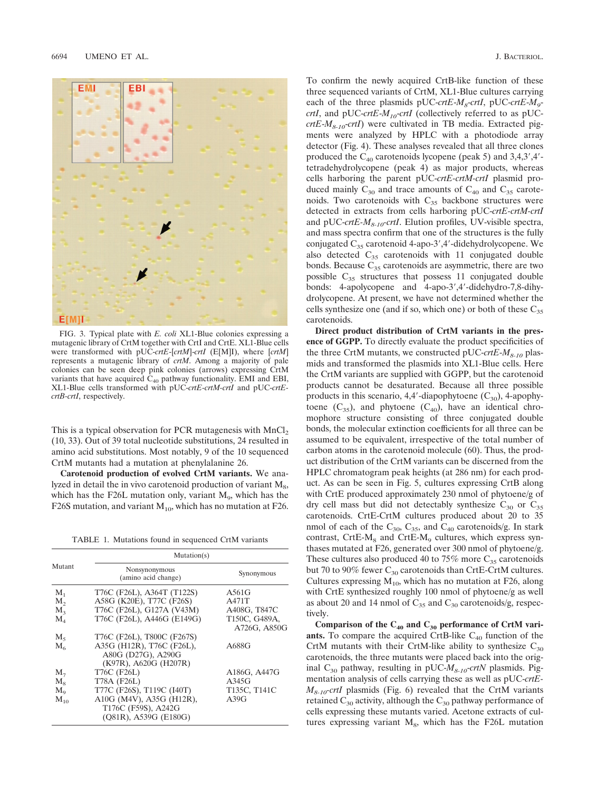

FIG. 3. Typical plate with *E. coli* XL1-Blue colonies expressing a mutagenic library of CrtM together with CrtI and CrtE. XL1-Blue cells were transformed with pUC-*crtE*-[*crtM*]-*crtI* (E[M]I), where [*crtM*] represents a mutagenic library of *crtM*. Among a majority of pale colonies can be seen deep pink colonies (arrows) expressing CrtM variants that have acquired  $C_{40}$  pathway functionality. EMI and EBI, XL1-Blue cells transformed with pUC-*crtE-crtM-crtI* and pUC-*crtEcrtB-crtI*, respectively.

This is a typical observation for PCR mutagenesis with  $MnCl<sub>2</sub>$ (10, 33). Out of 39 total nucleotide substitutions, 24 resulted in amino acid substitutions. Most notably, 9 of the 10 sequenced CrtM mutants had a mutation at phenylalanine 26.

**Carotenoid production of evolved CrtM variants.** We analyzed in detail the in vivo carotenoid production of variant  $M_8$ , which has the F26L mutation only, variant  $M<sub>9</sub>$ , which has the F26S mutation, and variant  $M_{10}$ , which has no mutation at F26.

TABLE 1. Mutations found in sequenced CrtM variants

| Mutant      | Mutation(s)                                                              |                               |
|-------------|--------------------------------------------------------------------------|-------------------------------|
|             | Nonsynonymous<br>(amino acid change)                                     | Synonymous                    |
| $M_{1}$     | T76C (F26L), A364T (T122S)                                               | A561G                         |
| $M_{2}$     | A58G (K20E), T77C (F26S)                                                 | A471T                         |
| $M_{3}$     | T76C (F26L), G127A (V43M)                                                | A408G, T847C                  |
| $M_{4}$     | T76C (F26L), A446G (E149G)                                               | T150C, G489A,<br>A726G, A850G |
| $M_{5}$     | T76C (F26L), T800C (F267S)                                               |                               |
| $M_{\odot}$ | A35G (H12R), T76C (F26L),<br>A80G (D27G), A290G<br>(K97R), A620G (H207R) | A688G                         |
| $M_{7}$     | T76C (F26L)                                                              | A186G, A447G                  |
| $M_{\rm s}$ | T78A (F26L)                                                              | A345G                         |
| $M_{o}$     | T77C (F26S), T119C (I40T)                                                | T135C, T141C                  |
| $M_{10}$    | A10G (M4V), A35G (H12R),<br>T176C (F59S), A242G<br>(Q81R), A539G (E180G) | A39G                          |

To confirm the newly acquired CrtB-like function of these three sequenced variants of CrtM, XL1-Blue cultures carrying each of the three plasmids pUC-crtE- $M_g$ -crtI, pUC-crtE- $M_g$ *crtI*, and pUC-*crtE*-*M10*-*crtI* (collectively referred to as pUC $crtE-M_{8-10}$ -*crtI*) were cultivated in TB media. Extracted pigments were analyzed by HPLC with a photodiode array detector (Fig. 4). These analyses revealed that all three clones produced the  $C_{40}$  carotenoids lycopene (peak 5) and 3,4,3',4'tetradehydrolycopene (peak 4) as major products, whereas cells harboring the parent pUC-*crtE-crtM-crtI* plasmid produced mainly  $C_{30}$  and trace amounts of  $C_{40}$  and  $C_{35}$  carotenoids. Two carotenoids with  $C_{35}$  backbone structures were detected in extracts from cells harboring pUC-*crtE-crtM-crtI* and pUC-*crtE-M8-10-crtI*. Elution profiles, UV-visible spectra, and mass spectra confirm that one of the structures is the fully conjugated  $C_{35}$  carotenoid 4-apo-3', 4'-didehydrolycopene. We also detected  $C_{35}$  carotenoids with 11 conjugated double bonds. Because  $C_{35}$  carotenoids are asymmetric, there are two possible  $C_{35}$  structures that possess 11 conjugated double bonds: 4-apolycopene and 4-apo-3',4'-didehydro-7,8-dihydrolycopene. At present, we have not determined whether the cells synthesize one (and if so, which one) or both of these  $C_{35}$ carotenoids.

**Direct product distribution of CrtM variants in the presence of GGPP.** To directly evaluate the product specificities of the three CrtM mutants, we constructed pUC-*crtE*-*M8-10* plasmids and transformed the plasmids into XL1-Blue cells. Here the CrtM variants are supplied with GGPP, but the carotenoid products cannot be desaturated. Because all three possible products in this scenario, 4,4'-diapophytoene  $(C_{30})$ , 4-apophytoene  $(C_{35})$ , and phytoene  $(C_{40})$ , have an identical chromophore structure consisting of three conjugated double bonds, the molecular extinction coefficients for all three can be assumed to be equivalent, irrespective of the total number of carbon atoms in the carotenoid molecule (60). Thus, the product distribution of the CrtM variants can be discerned from the HPLC chromatogram peak heights (at 286 nm) for each product. As can be seen in Fig. 5, cultures expressing CrtB along with CrtE produced approximately 230 nmol of phytoene/g of dry cell mass but did not detectably synthesize  $C_{30}$  or  $C_{35}$ carotenoids. CrtE-CrtM cultures produced about 20 to 35 nmol of each of the  $C_{30}$ ,  $C_{35}$ , and  $C_{40}$  carotenoids/g. In stark contrast, CrtE- $M_8$  and CrtE- $M_9$  cultures, which express synthases mutated at F26, generated over 300 nmol of phytoene/g. These cultures also produced 40 to 75% more  $C_{35}$  carotenoids but 70 to 90% fewer  $C_{30}$  carotenoids than CrtE-CrtM cultures. Cultures expressing  $M_{10}$ , which has no mutation at F26, along with CrtE synthesized roughly 100 nmol of phytoene/g as well as about 20 and 14 nmol of  $C_{35}$  and  $C_{30}$  carotenoids/g, respectively.

Comparison of the  $C_{40}$  and  $C_{30}$  performance of CrtM vari**ants.** To compare the acquired CrtB-like  $C_{40}$  function of the CrtM mutants with their CrtM-like ability to synthesize  $C_{30}$ carotenoids, the three mutants were placed back into the original C<sub>30</sub> pathway, resulting in pUC- $M_{8-10}$ -crtN plasmids. Pigmentation analysis of cells carrying these as well as pUC-*crtE-M<sub>8-10</sub>-crtI* plasmids (Fig. 6) revealed that the CrtM variants retained  $C_{30}$  activity, although the  $C_{30}$  pathway performance of cells expressing these mutants varied. Acetone extracts of cultures expressing variant  $M_8$ , which has the F26L mutation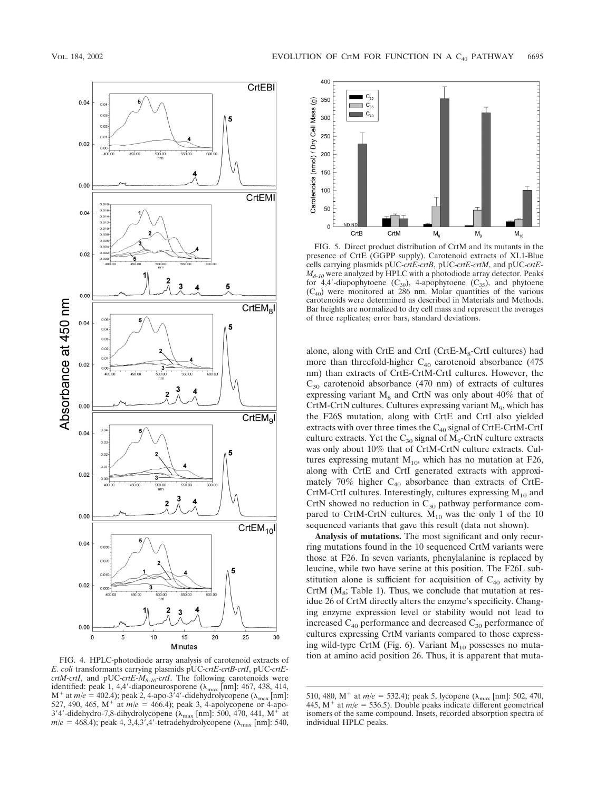

*E. coli* transformants carrying plasmids pUC-*crtE-crtB-crtI*, pUC-*crtEcrtM-crtI*, and pUC-*crtE-M8-10-crtI*. The following carotenoids were identified: peak 1, 4,4'-diaponeurosporene ( $\lambda_{\text{max}}$  [nm]: 467, 438, 414,  $M^{+}$  at  $m/e = 402.4$ ); peak 2, 4-apo-3<sup>7</sup>4'-didehydrolycopene ( $\lambda_{\text{max}}$ [nm]: 527, 490, 465, M<sup>+</sup> at  $m/e = 466.4$ ); peak 3, 4-apolycopene or 4-apo-3'4'-didehydro-7,8-dihydrolycopene ( $\lambda_{\text{max}}$  [nm]: 500, 470, 441, M<sup>+</sup> at  $m/e = 468.4$ ); peak 4, 3,4,3',4'-tetradehydrolycopene ( $\lambda_{\text{max}}$  [nm]: 540,



FIG. 5. Direct product distribution of CrtM and its mutants in the presence of CrtE (GGPP supply). Carotenoid extracts of XL1-Blue cells carrying plasmids pUC-*crtE-crtB*, pUC-*crtE-crtM*, and pUC-*crtE-* $M_{8-10}$  were analyzed by HPLC with a photodiode array detector. Peaks for 4,4'-diapophytoene  $(C_{30})$ , 4-apophytoene  $(C_{35})$ , and phytoene  $(C_{40})$  were monitored at 286 nm. Molar quantities of the various carotenoids were determined as described in Materials and Methods. Bar heights are normalized to dry cell mass and represent the averages of three replicates; error bars, standard deviations.

alone, along with CrtE and CrtI (CrtE- $M_8$ -CrtI cultures) had more than threefold-higher  $C_{40}$  carotenoid absorbance (475 nm) than extracts of CrtE-CrtM-CrtI cultures. However, the  $C_{30}$  carotenoid absorbance (470 nm) of extracts of cultures expressing variant  $M_8$  and CrtN was only about 40% that of CrtM-CrtN cultures. Cultures expressing variant  $M<sub>9</sub>$ , which has the F26S mutation, along with CrtE and CrtI also yielded extracts with over three times the  $C_{40}$  signal of CrtE-CrtM-CrtI culture extracts. Yet the  $C_{30}$  signal of  $M_9$ -CrtN culture extracts was only about 10% that of CrtM-CrtN culture extracts. Cultures expressing mutant  $M_{10}$ , which has no mutation at F26, along with CrtE and CrtI generated extracts with approximately 70% higher  $C_{40}$  absorbance than extracts of CrtE-CrtM-CrtI cultures. Interestingly, cultures expressing  $M_{10}$  and CrtN showed no reduction in  $C_{30}$  pathway performance compared to CrtM-CrtN cultures.  $M_{10}$  was the only 1 of the 10 sequenced variants that gave this result (data not shown).

**Analysis of mutations.** The most significant and only recurring mutations found in the 10 sequenced CrtM variants were those at F26. In seven variants, phenylalanine is replaced by leucine, while two have serine at this position. The F26L substitution alone is sufficient for acquisition of  $C_{40}$  activity by CrtM  $(M_8;$  Table 1). Thus, we conclude that mutation at residue 26 of CrtM directly alters the enzyme's specificity. Changing enzyme expression level or stability would not lead to increased  $C_{40}$  performance and decreased  $C_{30}$  performance of cultures expressing CrtM variants compared to those expressing wild-type CrtM (Fig. 6). Variant  $M_{10}$  possesses no mutation at amino acid position 26. Thus, it is apparent that muta- FIG. 4. HPLC-photodiode array analysis of carotenoid extracts of

<sup>510, 480,</sup> M<sup>+</sup> at  $m/e = 532.4$ ); peak 5, lycopene ( $\lambda_{\text{max}}$  [nm]: 502, 470, 445,  $M^{+}$  at  $m/e = 536.5$ ). Double peaks indicate different geometrical isomers of the same compound. Insets, recorded absorption spectra of individual HPLC peaks.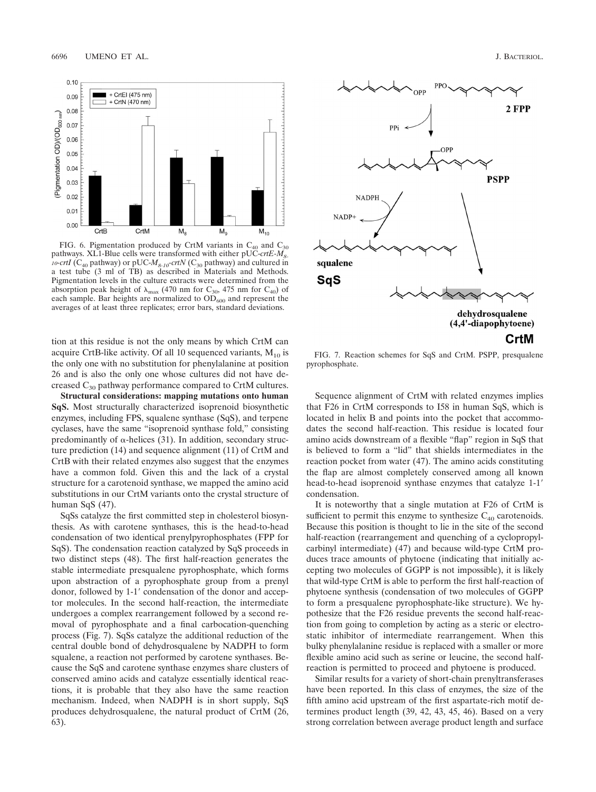

FIG. 6. Pigmentation produced by CrtM variants in  $C_{40}$  and  $C_{30}$ pathways. XL1-Blue cells were transformed with either pUC-crtE-M<sub>8</sub> *10-crtI* ( $C_{40}$  pathway) or pUC- $M_{8-10}$ -crtN ( $C_{30}$  pathway) and cultured in a test tube (3 ml of TB) as described in Materials and Methods. Pigmentation levels in the culture extracts were determined from the absorption peak height of  $\lambda_{\text{max}}$  (470 nm for C<sub>30</sub>, 475 nm for C<sub>40</sub>) of each sample. Bar heights are normalized to  $\overline{OD}_{600}$  and represent the averages of at least three replicates; error bars, standard deviations.

tion at this residue is not the only means by which CrtM can acquire CrtB-like activity. Of all 10 sequenced variants,  $M_{10}$  is the only one with no substitution for phenylalanine at position 26 and is also the only one whose cultures did not have decreased  $C_{30}$  pathway performance compared to CrtM cultures.

**Structural considerations: mapping mutations onto human SqS.** Most structurally characterized isoprenoid biosynthetic enzymes, including FPS, squalene synthase (SqS), and terpene cyclases, have the same "isoprenoid synthase fold," consisting predominantly of  $\alpha$ -helices (31). In addition, secondary structure prediction (14) and sequence alignment (11) of CrtM and CrtB with their related enzymes also suggest that the enzymes have a common fold. Given this and the lack of a crystal structure for a carotenoid synthase, we mapped the amino acid substitutions in our CrtM variants onto the crystal structure of human SqS (47).

SqSs catalyze the first committed step in cholesterol biosynthesis. As with carotene synthases, this is the head-to-head condensation of two identical prenylpyrophosphates (FPP for SqS). The condensation reaction catalyzed by SqS proceeds in two distinct steps (48). The first half-reaction generates the stable intermediate presqualene pyrophosphate, which forms upon abstraction of a pyrophosphate group from a prenyl donor, followed by 1-1' condensation of the donor and acceptor molecules. In the second half-reaction, the intermediate undergoes a complex rearrangement followed by a second removal of pyrophosphate and a final carbocation-quenching process (Fig. 7). SqSs catalyze the additional reduction of the central double bond of dehydrosqualene by NADPH to form squalene, a reaction not performed by carotene synthases. Because the SqS and carotene synthase enzymes share clusters of conserved amino acids and catalyze essentially identical reactions, it is probable that they also have the same reaction mechanism. Indeed, when NADPH is in short supply, SqS produces dehydrosqualene, the natural product of CrtM (26, 63).



FIG. 7. Reaction schemes for SqS and CrtM. PSPP, presqualene pyrophosphate.

Sequence alignment of CrtM with related enzymes implies that F26 in CrtM corresponds to I58 in human SqS, which is located in helix B and points into the pocket that accommodates the second half-reaction. This residue is located four amino acids downstream of a flexible "flap" region in SqS that is believed to form a "lid" that shields intermediates in the reaction pocket from water (47). The amino acids constituting the flap are almost completely conserved among all known head-to-head isoprenoid synthase enzymes that catalyze 1-1' condensation.

It is noteworthy that a single mutation at F26 of CrtM is sufficient to permit this enzyme to synthesize  $C_{40}$  carotenoids. Because this position is thought to lie in the site of the second half-reaction (rearrangement and quenching of a cyclopropylcarbinyl intermediate) (47) and because wild-type CrtM produces trace amounts of phytoene (indicating that initially accepting two molecules of GGPP is not impossible), it is likely that wild-type CrtM is able to perform the first half-reaction of phytoene synthesis (condensation of two molecules of GGPP to form a presqualene pyrophosphate-like structure). We hypothesize that the F26 residue prevents the second half-reaction from going to completion by acting as a steric or electrostatic inhibitor of intermediate rearrangement. When this bulky phenylalanine residue is replaced with a smaller or more flexible amino acid such as serine or leucine, the second halfreaction is permitted to proceed and phytoene is produced.

Similar results for a variety of short-chain prenyltransferases have been reported. In this class of enzymes, the size of the fifth amino acid upstream of the first aspartate-rich motif determines product length (39, 42, 43, 45, 46). Based on a very strong correlation between average product length and surface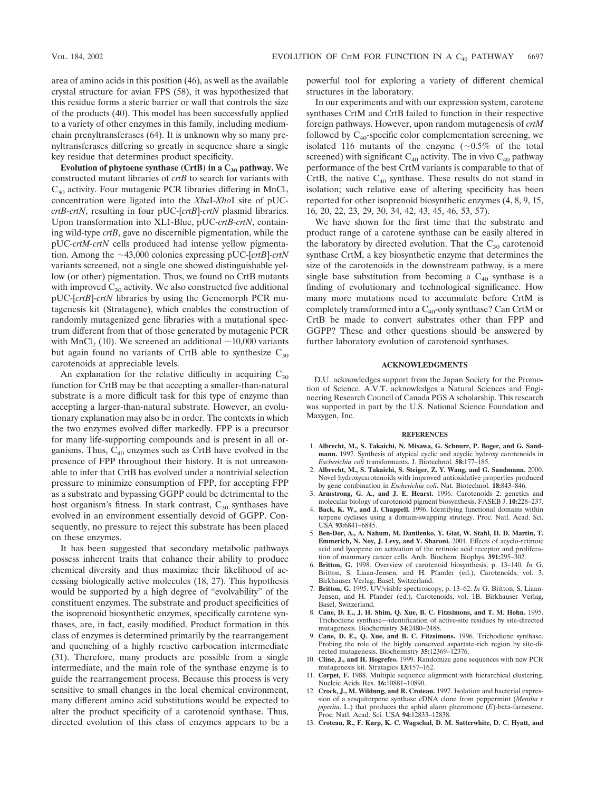area of amino acids in this position (46), as well as the available crystal structure for avian FPS (58), it was hypothesized that this residue forms a steric barrier or wall that controls the size of the products (40). This model has been successfully applied to a variety of other enzymes in this family, including mediumchain prenyltransferases (64). It is unknown why so many prenyltransferases differing so greatly in sequence share a single key residue that determines product specificity.

**Evolution of phytoene synthase (CrtB) in a C<sub>30</sub> pathway.** We constructed mutant libraries of *crtB* to search for variants with  $C_{30}$  activity. Four mutagenic PCR libraries differing in MnCl<sub>2</sub> concentration were ligated into the *Xba*I-*Xho*I site of pUC*crtB-crtN*, resulting in four pUC-[*crtB*]*-crtN* plasmid libraries. Upon transformation into XL1-Blue, pUC-*crtB-crtN*, containing wild-type *crtB*, gave no discernible pigmentation, while the pUC-*crtM-crtN* cells produced had intense yellow pigmentation. Among the  $\sim$ 43,000 colonies expressing pUC-[*crtB*]-*crtN* variants screened, not a single one showed distinguishable yellow (or other) pigmentation. Thus, we found no CrtB mutants with improved  $C_{30}$  activity. We also constructed five additional pUC-[*crtB*]-*crtN* libraries by using the Genemorph PCR mutagenesis kit (Stratagene), which enables the construction of randomly mutagenized gene libraries with a mutational spectrum different from that of those generated by mutagenic PCR with MnCl<sub>2</sub> (10). We screened an additional  $\sim$ 10,000 variants but again found no variants of CrtB able to synthesize  $C_{30}$ carotenoids at appreciable levels.

An explanation for the relative difficulty in acquiring  $C_{30}$ function for CrtB may be that accepting a smaller-than-natural substrate is a more difficult task for this type of enzyme than accepting a larger-than-natural substrate. However, an evolutionary explanation may also be in order. The contexts in which the two enzymes evolved differ markedly. FPP is a precursor for many life-supporting compounds and is present in all organisms. Thus,  $C_{40}$  enzymes such as CrtB have evolved in the presence of FPP throughout their history. It is not unreasonable to infer that CrtB has evolved under a nontrivial selection pressure to minimize consumption of FPP, for accepting FPP as a substrate and bypassing GGPP could be detrimental to the host organism's fitness. In stark contrast,  $C_{30}$  synthases have evolved in an environment essentially devoid of GGPP. Consequently, no pressure to reject this substrate has been placed on these enzymes.

It has been suggested that secondary metabolic pathways possess inherent traits that enhance their ability to produce chemical diversity and thus maximize their likelihood of accessing biologically active molecules (18, 27). This hypothesis would be supported by a high degree of "evolvability" of the constituent enzymes. The substrate and product specificities of the isoprenoid biosynthetic enzymes, specifically carotene synthases, are, in fact, easily modified. Product formation in this class of enzymes is determined primarily by the rearrangement and quenching of a highly reactive carbocation intermediate (31). Therefore, many products are possible from a single intermediate, and the main role of the synthase enzyme is to guide the rearrangement process. Because this process is very sensitive to small changes in the local chemical environment, many different amino acid substitutions would be expected to alter the product specificity of a carotenoid synthase. Thus, directed evolution of this class of enzymes appears to be a

powerful tool for exploring a variety of different chemical structures in the laboratory.

In our experiments and with our expression system, carotene synthases CrtM and CrtB failed to function in their respective foreign pathways. However, upon random mutagenesis of *crtM* followed by  $C_{40}$ -specific color complementation screening, we isolated 116 mutants of the enzyme  $(\sim 0.5\%$  of the total screened) with significant  $C_{40}$  activity. The in vivo  $C_{40}$  pathway performance of the best CrtM variants is comparable to that of CrtB, the native  $C_{40}$  synthase. These results do not stand in isolation; such relative ease of altering specificity has been reported for other isoprenoid biosynthetic enzymes (4, 8, 9, 15, 16, 20, 22, 23, 29, 30, 34, 42, 43, 45, 46, 53, 57).

We have shown for the first time that the substrate and product range of a carotene synthase can be easily altered in the laboratory by directed evolution. That the  $C_{30}$  carotenoid synthase CrtM, a key biosynthetic enzyme that determines the size of the carotenoids in the downstream pathway, is a mere single base substitution from becoming a  $C_{40}$  synthase is a finding of evolutionary and technological significance. How many more mutations need to accumulate before CrtM is completely transformed into a  $C_{40}$ -only synthase? Can CrtM or CrtB be made to convert substrates other than FPP and GGPP? These and other questions should be answered by further laboratory evolution of carotenoid synthases.

### **ACKNOWLEDGMENTS**

D.U. acknowledges support from the Japan Society for the Promotion of Science. A.V.T. acknowledges a Natural Sciences and Engineering Research Council of Canada PGS A scholarship. This research was supported in part by the U.S. National Science Foundation and Maxygen, Inc.

### **REFERENCES**

- 1. **Albrecht, M., S. Takaichi, N. Misawa, G. Schnurr, P. Boger, and G. Sandmann.** 1997. Synthesis of atypical cyclic and acyclic hydroxy carotenoids in *Escherichia coli* transformants. J. Biotechnol. **58:**177–185.
- 2. **Albrecht, M., S. Takaichi, S. Steiger, Z. Y. Wang, and G. Sandmann.** 2000. Novel hydroxycarotenoids with improved antioxidative properties produced by gene combination in *Escherichia coli*. Nat. Biotechnol. **18:**843–846.
- 3. **Armstrong, G. A., and J. E. Hearst.** 1996. Carotenoids 2: genetics and molecular biology of carotenoid pigment biosynthesis. FASEB J. **10:**228–237.
- 4. **Back, K. W., and J. Chappell.** 1996. Identifying functional domains within terpene cyclases using a domain-swapping strategy. Proc. Natl. Acad. Sci. USA **93:**6841–6845.
- 5. **Ben-Dor, A., A. Nahum, M. Danilenko, Y. Giat, W. Stahl, H. D. Martin, T. Emmerich, N. Noy, J. Levy, and Y. Sharoni.** 2001. Effects of acyclo-retinoic acid and lycopene on activation of the retinoic acid receptor and proliferation of mammary cancer cells. Arch. Biochem. Biophys. **391:**295–302.
- 6. **Britton, G.** 1998. Overview of carotenoid biosynthesis, p. 13–140. *In* G. Britton, S. Liaan-Jensen, and H. Pfander (ed.), Carotenoids, vol. 3. Birkhauser Verlag, Basel, Switzerland.
- 7. **Britton, G.** 1995. UV/visible spectroscopy, p. 13–62. *In* G. Britton, S. Liaan-Jensen, and H. Pfander (ed.), Carotenoids, vol. 1B. Birkhauser Verlag, Basel, Switzerland.
- 8. **Cane, D. E., J. H. Shim, Q. Xue, B. C. Fitzsimons, and T. M. Hohn.** 1995. Trichodiene synthase—identification of active-site residues by site-directed mutagenesis. Biochemistry **34:**2480–2488.
- 9. **Cane, D. E., Q. Xue, and B. C. Fitzsimons.** 1996. Trichodiene synthase. Probing the role of the highly conserved aspartate-rich region by site-directed mutagenesis. Biochemistry **35:**12369–12376.
- 10. **Cline, J., and H. Hogrefeo.** 1999. Randomize gene sequences with new PCR mutagenesis kit. Stratagies **13:**157–162.
- 11. **Corpet, F.** 1988. Multiple sequence alignment with hierarchical clustering. Nucleic Acids Res. **16:**10881–10890.
- 12. **Crock, J., M. Wildung, and R. Croteau.** 1997. Isolation and bacterial expression of a sesquiterpene synthase cDNA clone from peppermint (*Mentha x piperita*, L.) that produces the aphid alarm pheromone (*E*)-beta-farnesene. Proc. Natl. Acad. Sci. USA **94:**12833–12838.
- 13. **Croteau, R., F. Karp, K. C. Wagschal, D. M. Satterwhite, D. C. Hyatt, and**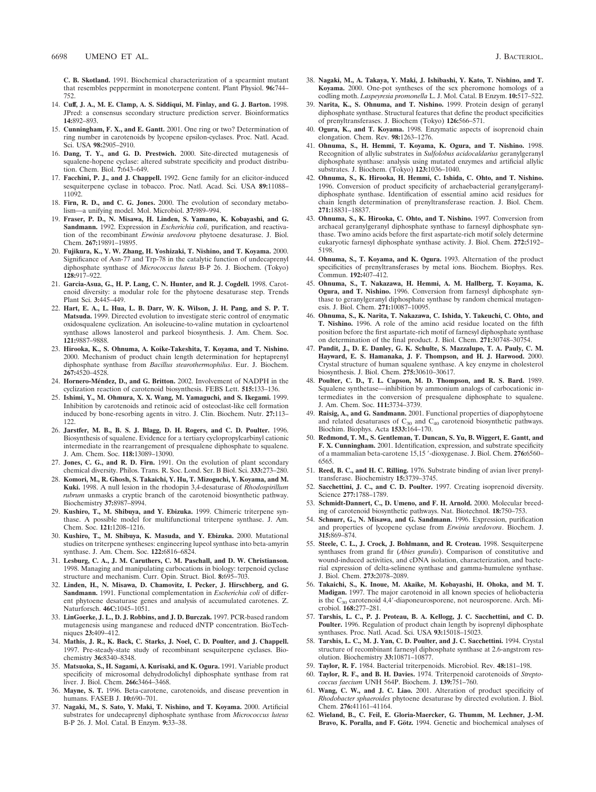**C. B. Skotland.** 1991. Biochemical characterization of a spearmint mutant that resembles peppermint in monoterpene content. Plant Physiol. **96:**744– 752.

- 14. **Cuff, J. A., M. E. Clamp, A. S. Siddiqui, M. Finlay, and G. J. Barton.** 1998. JPred: a consensus secondary structure prediction server. Bioinformatics **14:**892–893.
- 15. **Cunningham, F. X., and E. Gantt.** 2001. One ring or two? Determination of ring number in carotenoids by lycopene epsilon-cyclases. Proc. Natl. Acad. Sci. USA **98:**2905–2910.
- 16. **Dang, T. Y., and G. D. Prestwich.** 2000. Site-directed mutagenesis of squalene-hopene cyclase: altered substrate specificity and product distribution. Chem. Biol. **7:**643–649.
- 17. **Facchini, P. J., and J. Chappell.** 1992. Gene family for an elicitor-induced sesquiterpene cyclase in tobacco. Proc. Natl. Acad. Sci. USA **89:**11088– 11092.
- 18. **Firn, R. D., and C. G. Jones.** 2000. The evolution of secondary metabolism—a unifying model. Mol. Microbiol. **37:**989–994.
- 19. **Fraser, P. D., N. Misawa, H. Linden, S. Yamano, K. Kobayashi, and G. Sandmann.** 1992. Expression in *Escherichia coli*, purification, and reactivation of the recombinant *Erwinia uredovora* phytoene desaturase. J. Biol. Chem. **267:**19891–19895.
- 20. **Fujikura, K., Y. W. Zhang, H. Yoshizaki, T. Nishino, and T. Koyama.** 2000. Significance of Asn-77 and Trp-78 in the catalytic function of undecaprenyl diphosphate synthase of *Micrococcus luteus* B-P 26. J. Biochem. (Tokyo) **128:**917–922.
- 21. **Garcia-Asua, G., H. P. Lang, C. N. Hunter, and R. J. Cogdell.** 1998. Carotenoid diversity: a modular role for the phytoene desaturase step. Trends Plant Sci. **3:**445–449.
- 22. **Hart, E. A., L. Hua, L. B. Darr, W. K. Wilson, J. H. Pang, and S. P. T. Matsuda.** 1999. Directed evolution to investigate steric control of enzymatic oxidosqualene cyclization. An isoleucine-to-valine mutation in cycloartenol synthase allows lanosterol and parkeol biosynthesis. J. Am. Chem. Soc. **121:**9887–9888.
- 23. **Hirooka, K., S. Ohnuma, A. Koike-Takeshita, T. Koyama, and T. Nishino.** 2000. Mechanism of product chain length determination for heptaprenyl diphosphate synthase from *Bacillus stearothermophilus*. Eur. J. Biochem. **267:**4520–4528.
- 24. **Hornero-Méndez, D., and G. Britton.** 2002. Involvement of NADPH in the cyclization reaction of carotenoid biosynthesis. FEBS Lett. **515:**133–136.
- 25. **Ishimi, Y., M. Ohmura, X. X. Wang, M. Yamaguchi, and S. Ikegami.** 1999. Inhibition by carotenoids and retinoic acid of osteoclast-like cell formation induced by bone-resorbing agents in vitro. J. Clin. Biochem. Nutr. **27:**113– 122.
- 26. **Jarstfer, M. B., B. S. J. Blagg, D. H. Rogers, and C. D. Poulter.** 1996. Biosynthesis of squalene. Evidence for a tertiary cyclopropylcarbinyl cationic intermediate in the rearrangement of presqualene diphosphate to squalene. J. Am. Chem. Soc. **118:**13089–13090.
- 27. **Jones, C. G., and R. D. Firn.** 1991. On the evolution of plant secondary chemical diversity. Philos. Trans. R. Soc. Lond. Ser. B Biol. Sci. **333:**273–280.
- 28. **Komori, M., R. Ghosh, S. Takaichi, Y. Hu, T. Mizoguchi, Y. Koyama, and M. Kuki.** 1998. A null lesion in the rhodopin 3,4-desaturase of *Rhodospirillum rubrum* unmasks a cryptic branch of the carotenoid biosynthetic pathway. Biochemistry **37:**8987–8994.
- 29. **Kushiro, T., M. Shibuya, and Y. Ebizuka.** 1999. Chimeric triterpene synthase. A possible model for multifunctional triterpene synthase. J. Am. Chem. Soc. **121:**1208–1216.
- 30. **Kushiro, T., M. Shibuya, K. Masuda, and Y. Ebizuka.** 2000. Mutational studies on triterpene syntheses: engineering lupeol synthase into beta-amyrin synthase. J. Am. Chem. Soc. **122:**6816–6824.
- 31. **Lesburg, C. A., J. M. Caruthers, C. M. Paschall, and D. W. Christianson.** 1998. Managing and manipulating carbocations in biology: terpenoid cyclase structure and mechanism. Curr. Opin. Struct. Biol. **8:**695–703.
- 32. **Linden, H., N. Misawa, D. Chamovitz, I. Pecker, J. Hirschberg, and G. Sandmann.** 1991. Functional complementation in *Escherichia coli* of different phytoene desaturase genes and analysis of accumulated carotenes. Z. Naturforsch. **46C:**1045–1051.
- 33. **LinGoerke, J. L., D. J. Robbins, and J. D. Burczak.** 1997. PCR-based random mutagenesis using manganese and reduced dNTP concentration. BioTechniques **23:**409–412.
- 34. **Mathis, J. R., K. Back, C. Starks, J. Noel, C. D. Poulter, and J. Chappell.** 1997. Pre-steady-state study of recombinant sesquiterpene cyclases. Biochemistry **36:**8340–8348.
- 35. **Matsuoka, S., H. Sagami, A. Kurisaki, and K. Ogura.** 1991. Variable product specificity of microsomal dehydrodolichyl diphosphate synthase from rat liver. J. Biol. Chem. **266:**3464–3468.
- 36. **Mayne, S. T.** 1996. Beta-carotene, carotenoids, and disease prevention in humans. FASEB J. **10:**690–701.
- 37. **Nagaki, M., S. Sato, Y. Maki, T. Nishino, and T. Koyama.** 2000. Artificial substrates for undecaprenyl diphosphate synthase from *Micrococcus luteus* B-P 26. J. Mol. Catal. B Enzym. **9:**33–38.
- 38. **Nagaki, M., A. Takaya, Y. Maki, J. Ishibashi, Y. Kato, T. Nishino, and T. Koyama.** 2000. One-pot syntheses of the sex pheromone homologs of a codling moth. *Laspeyresia promonella* L. J. Mol. Catal. B Enzym. **10:**517–522.
- 39. **Narita, K., S. Ohnuma, and T. Nishino.** 1999. Protein design of geranyl diphosphate synthase. Structural features that define the product specificities of prenyltransferases. J. Biochem (Tokyo) **126:**566–571.
- 40. **Ogura, K., and T. Koyama.** 1998. Enzymatic aspects of isoprenoid chain elongation. Chem. Rev. **98:**1263–1276.
- 41. **Ohnuma, S., H. Hemmi, T. Koyama, K. Ogura, and T. Nishino.** 1998. Recognition of allylic substrates in *Sulfolobus acidocaldarius* geranylgeranyl diphosphate synthase: analysis using mutated enzymes and artificial allylic substrates. J. Biochem. (Tokyo) **123:**1036–1040.
- 42. **Ohnuma, S., K. Hirooka, H. Hemmi, C. Ishida, C. Ohto, and T. Nishino.** 1996. Conversion of product specificity of archaebacterial geranylgeranyldiphosphate synthase. Identification of essential amino acid residues for chain length determination of prenyltransferase reaction. J. Biol. Chem. **271:**18831–18837.
- 43. **Ohnuma, S., K. Hirooka, C. Ohto, and T. Nishino.** 1997. Conversion from archaeal geranylgeranyl diphosphate synthase to farnesyl diphosphate synthase. Two amino acids before the first aspartate-rich motif solely determine eukaryotic farnesyl diphosphate synthase activity. J. Biol. Chem. **272:**5192– 5198.
- 44. **Ohnuma, S., T. Koyama, and K. Ogura.** 1993. Alternation of the product specificities of prenyltransferases by metal ions. Biochem. Biophys. Res. Commun. **192:**407–412.
- 45. **Ohnuma, S., T. Nakazawa, H. Hemmi, A. M. Hallberg, T. Koyama, K. Ogura, and T. Nishino.** 1996. Conversion from farnesyl diphosphate synthase to geranylgeranyl diphosphate synthase by random chemical mutagenesis. J. Biol. Chem. **271:**10087–10095.
- 46. **Ohnuma, S., K. Narita, T. Nakazawa, C. Ishida, Y. Takeuchi, C. Ohto, and T. Nishino.** 1996. A role of the amino acid residue located on the fifth position before the first aspartate-rich motif of farnesyl diphosphate synthase on determination of the final product. J. Biol. Chem. **271:**30748–30754.
- 47. **Pandit, J., D. E. Danley, G. K. Schulte, S. Mazzalupo, T. A. Pauly, C. M. Hayward, E. S. Hamanaka, J. F. Thompson, and H. J. Harwood.** 2000. Crystal structure of human squalene synthase. A key enzyme in cholesterol biosynthesis. J. Biol. Chem. **275:**30610–30617.
- 48. **Poulter, C. D., T. L. Capson, M. D. Thompson, and R. S. Bard.** 1989. Squalene synthetase—inhibition by ammonium analogs of carbocationic intermediates in the conversion of presqualene diphosphate to squalene. J. Am. Chem. Soc. **111:**3734–3739.
- 49. **Raisig, A., and G. Sandmann.** 2001. Functional properties of diapophytoene and related desaturases of  $C_{30}$  and  $C_{40}$  carotenoid biosynthetic pathways. Biochim. Biophys. Acta **1533:**164–170.
- 50. **Redmond, T. M., S. Gentleman, T. Duncan, S. Yu, B. Wiggert, E. Gantt, and F. X. Cunningham.** 2001. Identification, expression, and substrate specificity of a mammalian beta-carotene 15,15 -dioxygenase. J. Biol. Chem. **276:**6560– 6565.
- 51. **Reed, B. C., and H. C. Rilling.** 1976. Substrate binding of avian liver prenyltransferase. Biochemistry **15:**3739–3745.
- 52. **Sacchettini, J. C., and C. D. Poulter.** 1997. Creating isoprenoid diversity. Science **277:**1788–1789.
- 53. **Schmidt-Dannert, C., D. Umeno, and F. H. Arnold.** 2000. Molecular breeding of carotenoid biosynthetic pathways. Nat. Biotechnol. **18:**750–753.
- 54. **Schnurr, G., N. Misawa, and G. Sandmann.** 1996. Expression, purification and properties of lycopene cyclase from *Erwinia uredovora*. Biochem. J. **315:**869–874.
- 55. **Steele, C. L., J. Crock, J. Bohlmann, and R. Croteau.** 1998. Sesquiterpene synthases from grand fir (*Abies grandis*). Comparison of constitutive and wound-induced activities, and cDNA isolation, characterization, and bacterial expression of delta-selinene synthase and gamma-humulene synthase. J. Biol. Chem. **273:**2078–2089.
- 56. **Takaichi, S., K. Inoue, M. Akaike, M. Kobayashi, H. Ohoka, and M. T. Madigan.** 1997. The major carotenoid in all known species of heliobacteria is the C<sub>30</sub> carotenoid 4,4'-diaponeurosporene, not neurosporene. Arch. Microbiol. **168:**277–281.
- 57. **Tarshis, L. C., P. J. Proteau, B. A. Kellogg, J. C. Sacchettini, and C. D. Poulter.** 1996. Regulation of product chain length by isoprenyl diphosphate synthases. Proc. Natl. Acad. Sci. USA **93:**15018–15023.
- 58. **Tarshis, L. C., M. J. Yan, C. D. Poulter, and J. C. Sacchettini.** 1994. Crystal structure of recombinant farnesyl diphosphate synthase at 2.6-angstrom resolution. Biochemistry **33:**10871–10877.
- 59. **Taylor, R. F.** 1984. Bacterial triterpenoids. Microbiol. Rev. **48:**181–198.
- 60. **Taylor, R. F., and B. H. Davies.** 1974. Triterpenoid carotenoids of *Streptococcus faecium* UNH 564P. Biochem. J. **139:**751–760.
- 61. **Wang, C. W., and J. C. Liao.** 2001. Alteration of product specificity of *Rhodobacter sphaeroides* phytoene desaturase by directed evolution. J. Biol. Chem. **276:**41161–41164.
- 62. **Wieland, B., C. Feil, E. Gloria-Maercker, G. Thumm, M. Lechner, J.-M.** Bravo, K. Poralla, and F. Götz. 1994. Genetic and biochemical analyses of